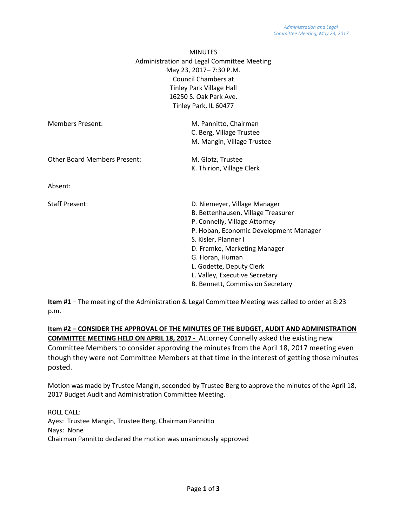|                                                                         | <b>MINUTES</b>                                                                                                                                                                                                                                     |
|-------------------------------------------------------------------------|----------------------------------------------------------------------------------------------------------------------------------------------------------------------------------------------------------------------------------------------------|
| Administration and Legal Committee Meeting                              |                                                                                                                                                                                                                                                    |
|                                                                         | May 23, 2017-7:30 P.M.<br><b>Council Chambers at</b><br><b>Tinley Park Village Hall</b><br>16250 S. Oak Park Ave.<br>Tinley Park, IL 60477<br>M. Pannitto, Chairman<br>C. Berg, Village Trustee<br>M. Mangin, Village Trustee<br>M. Glotz, Trustee |
|                                                                         |                                                                                                                                                                                                                                                    |
|                                                                         |                                                                                                                                                                                                                                                    |
|                                                                         |                                                                                                                                                                                                                                                    |
|                                                                         |                                                                                                                                                                                                                                                    |
| <b>Members Present:</b>                                                 |                                                                                                                                                                                                                                                    |
| <b>Other Board Members Present:</b><br>Absent:<br><b>Staff Present:</b> |                                                                                                                                                                                                                                                    |
|                                                                         |                                                                                                                                                                                                                                                    |
|                                                                         |                                                                                                                                                                                                                                                    |
|                                                                         | K. Thirion, Village Clerk                                                                                                                                                                                                                          |
|                                                                         |                                                                                                                                                                                                                                                    |
|                                                                         | D. Niemeyer, Village Manager                                                                                                                                                                                                                       |
|                                                                         | B. Bettenhausen, Village Treasurer                                                                                                                                                                                                                 |
|                                                                         | P. Connelly, Village Attorney                                                                                                                                                                                                                      |
|                                                                         | P. Hoban, Economic Development Manager                                                                                                                                                                                                             |
|                                                                         | S. Kisler, Planner I                                                                                                                                                                                                                               |
|                                                                         | D. Framke, Marketing Manager                                                                                                                                                                                                                       |
|                                                                         | G. Horan, Human                                                                                                                                                                                                                                    |
|                                                                         | L. Godette, Deputy Clerk                                                                                                                                                                                                                           |
|                                                                         | L. Valley, Executive Secretary                                                                                                                                                                                                                     |
|                                                                         | B. Bennett, Commission Secretary                                                                                                                                                                                                                   |

**Item #1** – The meeting of the Administration & Legal Committee Meeting was called to order at 8:23 p.m.

**Item #2 – CONSIDER THE APPROVAL OF THE MINUTES OF THE BUDGET, AUDIT AND ADMINISTRATION COMMITTEE MEETING HELD ON APRIL 18, 2017 -** Attorney Connelly asked the existing new Committee Members to consider approving the minutes from the April 18, 2017 meeting even though they were not Committee Members at that time in the interest of getting those minutes posted.

Motion was made by Trustee Mangin, seconded by Trustee Berg to approve the minutes of the April 18, 2017 Budget Audit and Administration Committee Meeting.

ROLL CALL: Ayes: Trustee Mangin, Trustee Berg, Chairman Pannitto Nays: None Chairman Pannitto declared the motion was unanimously approved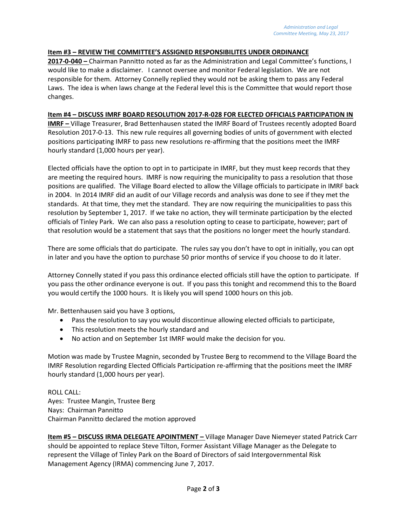#### **Item #3 – REVIEW THE COMMITTEE'S ASSIGNED RESPONSIBILITES UNDER ORDINANCE**

**2017-0-040 –** Chairman Pannitto noted as far as the Administration and Legal Committee's functions, I would like to make a disclaimer. I cannot oversee and monitor Federal legislation. We are not responsible for them. Attorney Connelly replied they would not be asking them to pass any Federal Laws. The idea is when laws change at the Federal level this is the Committee that would report those changes.

#### **Item #4 – DISCUSS IMRF BOARD RESOLUTION 2017-R-028 FOR ELECTED OFFICIALS PARTICIPATION IN**

**IMRF –** Village Treasurer, Brad Bettenhausen stated the IMRF Board of Trustees recently adopted Board Resolution 2017-0-13. This new rule requires all governing bodies of units of government with elected positions participating IMRF to pass new resolutions re-affirming that the positions meet the IMRF hourly standard (1,000 hours per year).

Elected officials have the option to opt in to participate in IMRF, but they must keep records that they are meeting the required hours. IMRF is now requiring the municipality to pass a resolution that those positions are qualified. The Village Board elected to allow the Village officials to participate in IMRF back in 2004. In 2014 IMRF did an audit of our Village records and analysis was done to see if they met the standards. At that time, they met the standard. They are now requiring the municipalities to pass this resolution by September 1, 2017. If we take no action, they will terminate participation by the elected officials of Tinley Park. We can also pass a resolution opting to cease to participate, however; part of that resolution would be a statement that says that the positions no longer meet the hourly standard.

There are some officials that do participate. The rules say you don't have to opt in initially, you can opt in later and you have the option to purchase 50 prior months of service if you choose to do it later.

Attorney Connelly stated if you pass this ordinance elected officials still have the option to participate. If you pass the other ordinance everyone is out. If you pass this tonight and recommend this to the Board you would certify the 1000 hours. It is likely you will spend 1000 hours on this job.

Mr. Bettenhausen said you have 3 options,

- Pass the resolution to say you would discontinue allowing elected officials to participate,
- This resolution meets the hourly standard and
- No action and on September 1st IMRF would make the decision for you.

Motion was made by Trustee Magnin, seconded by Trustee Berg to recommend to the Village Board the IMRF Resolution regarding Elected Officials Participation re-affirming that the positions meet the IMRF hourly standard (1,000 hours per year).

ROLL CALL: Ayes: Trustee Mangin, Trustee Berg Nays: Chairman Pannitto Chairman Pannitto declared the motion approved

**Item #5 – DISCUSS IRMA DELEGATE APOINTMENT –** Village Manager Dave Niemeyer stated Patrick Carr should be appointed to replace Steve Tilton, Former Assistant Village Manager as the Delegate to represent the Village of Tinley Park on the Board of Directors of said Intergovernmental Risk Management Agency (IRMA) commencing June 7, 2017.